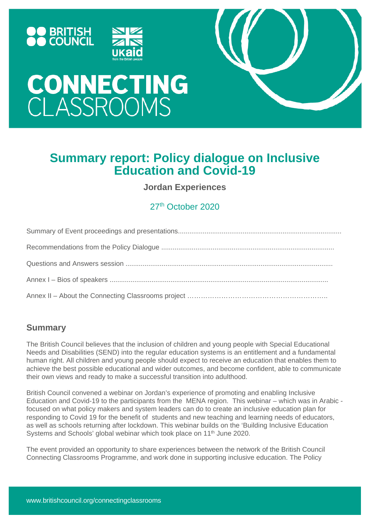





# **CONNECTING**<br>CLASSROOMS

# **Summary report: Policy dialogue on Inclusive Education and Covid-19**

**Jordan Experiences**

# 27th October 2020

# **Summary**

The British Council believes that the inclusion of children and young people with Special Educational Needs and Disabilities (SEND) into the regular education systems is an entitlement and a fundamental human right. All children and young people should expect to receive an education that enables them to achieve the best possible educational and wider outcomes, and become confident, able to communicate their own views and ready to make a successful transition into adulthood.

British Council convened a webinar on Jordan's experience of promoting and enabling Inclusive Education and Covid-19 to the participants from the MENA region. This webinar – which was in Arabic focused on what policy makers and system leaders can do to create an inclusive education plan for responding to Covid 19 for the benefit of students and new teaching and learning needs of educators, as well as schools returning after lockdown. This webinar builds on the 'Building Inclusive Education Systems and Schools' global webinar which took place on 11<sup>th</sup> June 2020.

The event provided an opportunity to share experiences between the network of the British Council Connecting Classrooms Programme, and work done in supporting inclusive education. The Policy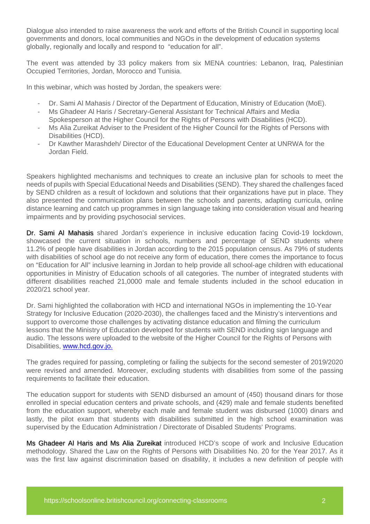Dialogue also intended to raise awareness the work and efforts of the British Council in supporting local governments and donors, local communities and NGOs in the development of education systems globally, regionally and locally and respond to "education for all".

The event was attended by 33 policy makers from six MENA countries: Lebanon, Iraq, Palestinian Occupied Territories, Jordan, Morocco and Tunisia.

In this webinar, which was hosted by Jordan, the speakers were:

- Dr. Sami Al Mahasis / Director of the Department of Education, Ministry of Education (MoE).
- Ms Ghadeer Al Haris / Secretary-General Assistant for Technical Affairs and Media Spokesperson at the Higher Council for the Rights of Persons with Disabilities (HCD).
- Ms Alia Zureikat Adviser to the President of the Higher Council for the Rights of Persons with Disabilities (HCD).
- Dr Kawther Marashdeh/ Director of the Educational Development Center at UNRWA for the Jordan Field.

Speakers highlighted mechanisms and techniques to create an inclusive plan for schools to meet the needs of pupils with Special Educational Needs and Disabilities (SEND). They shared the challenges faced by SEND children as a result of lockdown and solutions that their organizations have put in place. They also presented the communication plans between the schools and parents, adapting curricula, online distance learning and catch up programmes in sign language taking into consideration visual and hearing impairments and by providing psychosocial services.

Dr. Sami Al Mahasis shared Jordan's experience in inclusive education facing Covid-19 lockdown, showcased the current situation in schools, numbers and percentage of SEND students where 11.2% of people have disabilities in Jordan according to the 2015 population census. As 79% of students with disabilities of school age do not receive any form of education, there comes the importance to focus on "Education for All" inclusive learning in Jordan to help provide all school-age children with educational opportunities in Ministry of Education schools of all categories. The number of integrated students with different disabilities reached 21,0000 male and female students included in the school education in 2020/21 school year.

Dr. Sami highlighted the collaboration with HCD and international NGOs in implementing the 10-Year Strategy for Inclusive Education (2020-2030), the challenges faced and the Ministry's interventions and support to overcome those challenges by activating distance education and filming the curriculum lessons that the Ministry of Education developed for students with SEND including sign language and audio. The lessons were uploaded to the website of the Higher Council for the Rights of Persons with Disabilities, [www.hcd.gov.jo.](http://www.hcd.gov.jo/)

The grades required for passing, completing or failing the subjects for the second semester of 2019/2020 were revised and amended. Moreover, excluding students with disabilities from some of the passing requirements to facilitate their education.

The education support for students with SEND disbursed an amount of (450) thousand dinars for those enrolled in special education centers and private schools, and (429) male and female students benefited from the education support, whereby each male and female student was disbursed (1000) dinars and lastly, the pilot exam that students with disabilities submitted in the high school examination was supervised by the Education Administration / Directorate of Disabled Students' Programs.

Ms Ghadeer Al Haris and Ms Alia Zureikat introduced HCD's scope of work and Inclusive Education methodology. Shared the Law on the Rights of Persons with Disabilities No. 20 for the Year 2017. As it was the first law against discrimination based on disability, it includes a new definition of people with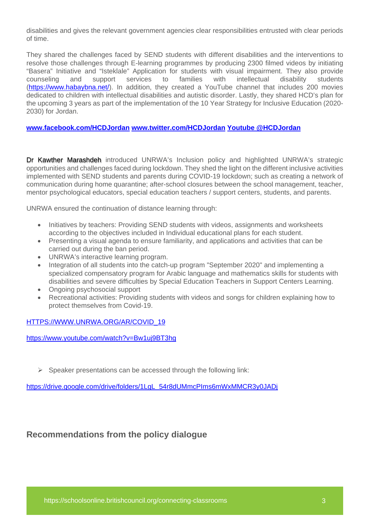disabilities and gives the relevant government agencies clear responsibilities entrusted with clear periods of time.

They shared the challenges faced by SEND students with different disabilities and the interventions to resolve those challenges through E-learning programmes by producing 2300 filmed videos by initiating "Basera" Initiative and "Isteklale" Application for students with visual impairment. They also provide counseling and support services to families with intellectual disability students [\(https://www.habaybna.net/\)](https://www.habaybna.net/). In addition, they created a YouTube channel that includes 200 movies dedicated to children with intellectual disabilities and autistic disorder. Lastly, they shared HCD's plan for the upcoming 3 years as part of the implementation of the 10 Year Strategy for Inclusive Education (2020- 2030) for Jordan.

#### **[www.facebook.com/HCDJordan](http://www.facebook.com/HCDJordan) [www.twitter.com/HCDJordan](http://www.twitter.com/HCDJordan) Youtube @HCDJordan**

Dr Kawther Marashdeh introduced UNRWA's Inclusion policy and highlighted UNRWA's strategic opportunities and challenges faced during lockdown. They shed the light on the different inclusive activities implemented with SEND students and parents during COVID-19 lockdown; such as creating a network of communication during home quarantine; after-school closures between the school management, teacher, mentor psychological educators, special education teachers / support centers, students, and parents.

UNRWA ensured the continuation of distance learning through:

- Initiatives by teachers: Providing SEND students with videos, assignments and worksheets according to the objectives included in Individual educational plans for each student.
- Presenting a visual agenda to ensure familiarity, and applications and activities that can be carried out during the ban period.
- UNRWA's interactive learning program.
- Integration of all students into the catch-up program "September 2020" and implementing a specialized compensatory program for Arabic language and mathematics skills for students with disabilities and severe difficulties by Special Education Teachers in Support Centers Learning.
- Ongoing psychosocial support
- Recreational activities: Providing students with videos and songs for children explaining how to protect themselves from Covid-19.

#### [HTTPS://WWW.UNRWA.ORG/AR/COVID\\_19](https://www.unrwa.org/AR/COVID_19)

<https://www.youtube.com/watch?v=Bw1uj9BT3hg>

 $\triangleright$  Speaker presentations can be accessed through the following link:

[https://drive.google.com/drive/folders/1LgL\\_54r8dUMmcPIms6mWxMMCR3y0JADj](https://drive.google.com/drive/folders/1LgL_54r8dUMmcPIms6mWxMMCR3y0JADj)

## **Recommendations from the policy dialogue**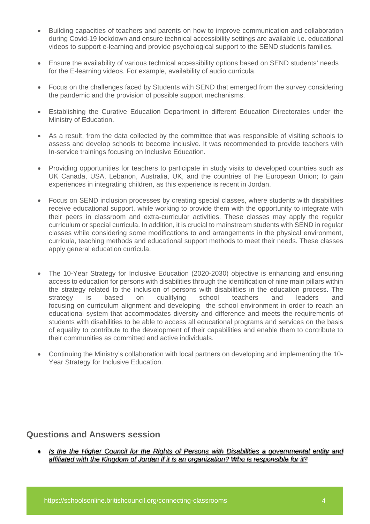- Building capacities of teachers and parents on how to improve communication and collaboration during Covid-19 lockdown and ensure technical accessibility settings are available i.e. educational videos to support e-learning and provide psychological support to the SEND students families.
- Ensure the availability of various technical accessibility options based on SEND students' needs for the E-learning videos. For example, availability of audio curricula.
- Focus on the challenges faced by Students with SEND that emerged from the survey considering the pandemic and the provision of possible support mechanisms.
- Establishing the Curative Education Department in different Education Directorates under the Ministry of Education.
- As a result, from the data collected by the committee that was responsible of visiting schools to assess and develop schools to become inclusive. It was recommended to provide teachers with In-service trainings focusing on Inclusive Education.
- Providing opportunities for teachers to participate in study visits to developed countries such as UK Canada, USA, Lebanon, Australia, UK, and the countries of the European Union; to gain experiences in integrating children, as this experience is recent in Jordan.
- Focus on SEND inclusion processes by creating special classes, where students with disabilities receive educational support, while working to provide them with the opportunity to integrate with their peers in classroom and extra-curricular activities. These classes may apply the regular curriculum or special curricula. In addition, it is crucial to mainstream students with SEND in regular classes while considering some modifications to and arrangements in the physical environment, curricula, teaching methods and educational support methods to meet their needs. These classes apply general education curricula.
- The 10-Year Strategy for Inclusive Education (2020-2030) objective is enhancing and ensuring access to education for persons with disabilities through the identification of nine main pillars within the strategy related to the inclusion of persons with disabilities in the education process. The strategy is based on qualifying school teachers and leaders and focusing on curriculum alignment and developing the school environment in order to reach an educational system that accommodates diversity and difference and meets the requirements of students with disabilities to be able to access all educational programs and services on the basis of equality to contribute to the development of their capabilities and enable them to contribute to their communities as committed and active individuals.
- Continuing the Ministry's collaboration with local partners on developing and implementing the 10- Year Strategy for Inclusive Education.

## **Questions and Answers session**

• *Is the the Higher Council for the Rights of Persons with Disabilities a governmental entity and affiliated with the Kingdom of Jordan if it is an organization? Who is responsible for it?*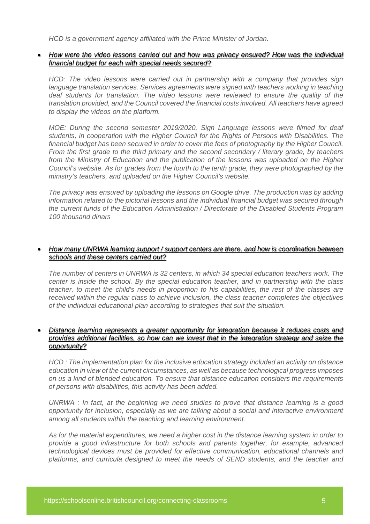*HCD is a government agency affiliated with the Prime Minister of Jordan.*

#### • *How were the video lessons carried out and how was privacy ensured? How was the individual financial budget for each with special needs secured?*

*HCD: The video lessons were carried out in partnership with a company that provides sign*  language translation services. Services agreements were signed with *teachers working in teaching deaf students for translation. The video lessons were reviewed to ensure the quality of the translation provided, and the Council covered the financial costs involved. All teachers have agreed to display the videos on the platform.*

*MOE: During the second semester 2019/2020, Sign Language lessons were filmed for deaf students, in cooperation with the Higher Council for the Rights of Persons with Disabilities. The financial budget has been secured in order to cover the fees of photography by the Higher Council. From the first grade to the third primary and the second secondary / literary grade, by teachers from the Ministry of Education and the publication of the lessons was uploaded on the Higher Council's website. As for grades from the fourth to the tenth grade, they were photographed by the ministry's teachers, and uploaded on the Higher Council's website.* 

*The privacy was ensured by uploading the lessons on Google drive. The production was by adding information related to the pictorial lessons and the individual financial budget was secured through the current funds of the Education Administration / Directorate of the Disabled Students Program 100 thousand dinars*

#### • *How many UNRWA learning support / support centers are there, and how is coordination between schools and these centers carried out?*

*The number of centers in UNRWA is 32 centers, in which 34 special education teachers work. The center is inside the school. By the special education teacher, and in partnership with the class teacher, to meet the child's needs in proportion to his capabilities, the rest of the classes are received within the regular class to achieve inclusion, the class teacher completes the objectives of the individual educational plan according to strategies that suit the situation.*

### • *Distance learning represents a greater opportunity for integration because it reduces costs and provides additional facilities, so how can we invest that in the integration strategy and seize the opportunity?*

*HCD : The implementation plan for the inclusive education strategy included an activity on distance education in view of the current circumstances, as well as because technological progress imposes on us a kind of blended education. To ensure that distance education considers the requirements of persons with disabilities, this activity has been added.*

*UNRWA : In fact, at the beginning we need studies to prove that distance learning is a good opportunity for inclusion, especially as we are talking about a social and interactive environment among all students within the teaching and learning environment.*

*As for the material expenditures, we need a higher cost in the distance learning system in order to provide a good infrastructure for both schools and parents together, for example, advanced technological devices must be provided for effective communication, educational channels and platforms, and curricula designed to meet the needs of SEND students, and the teacher and*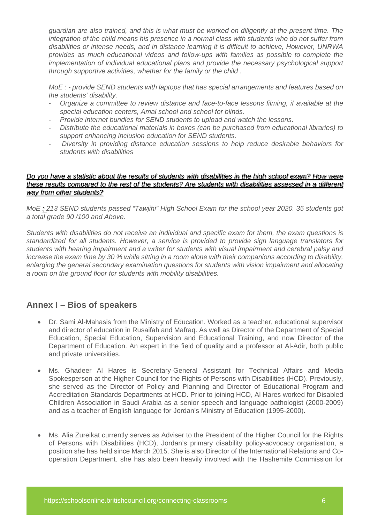*guardian are also trained, and this is what must be worked on diligently at the present time. The integration of the child means his presence in a normal class with students who do not suffer from disabilities or intense needs, and in distance learning it is difficult to achieve, However, UNRWA provides as much educational videos and follow-ups with families as possible to complete the implementation of individual educational plans and provide the necessary psychological support through supportive activities, whether for the family or the child .*

*MoE : - provide SEND students with laptops that has special arrangements and features based on the students' disability.*

- *Organize a committee to review distance and face-to-face lessons filming, if available at the special education centers, Amal school and school for blinds.*
- *Provide internet bundles for SEND students to upload and watch the lessons.*
- *Distribute the educational materials in boxes (can be purchased from educational libraries) to support enhancing inclusion education for SEND students.*
- *Diversity in providing distance education sessions to help reduce desirable behaviors for students with disabilities*

#### *Do you have a statistic about the results of students with disabilities in the high school exam? How were these results compared to the rest of the students? Are students with disabilities assessed in a different way from other students?*

*MoE : 213 SEND students passed "Tawjihi" High School Exam for the school year 2020. 35 students got a total grade 90 /100 and Above.*

*Students with disabilities do not receive an individual and specific exam for them, the exam questions is standardized for all students. However, a service is provided to provide sign language translators for students with hearing impairment and a writer for students with visual impairment and cerebral palsy and increase the exam time by 30 % while sitting in a room alone with their companions according to disability, enlarging the general secondary examination questions for students with vision impairment and allocating a room on the ground floor for students with mobility disabilities.*

# **Annex I – Bios of speakers**

- Dr. Sami Al-Mahasis from the Ministry of Education. Worked as a teacher, educational supervisor and director of education in Rusaifah and Mafraq. As well as Director of the Department of Special Education, Special Education, Supervision and Educational Training, and now Director of the Department of Education. An expert in the field of quality and a professor at Al-Adir, both public and private universities.
- Ms. Ghadeer Al Hares is Secretary-General Assistant for Technical Affairs and Media Spokesperson at the Higher Council for the Rights of Persons with Disabilities (HCD). Previously, she served as the Director of Policy and Planning and Director of Educational Program and Accreditation Standards Departments at HCD. Prior to joining HCD, Al Hares worked for Disabled Children Association in Saudi Arabia as a senior speech and language pathologist (2000-2009) and as a teacher of English language for Jordan's Ministry of Education (1995-2000).
- Ms. Alia Zureikat currently serves as Adviser to the President of the Higher Council for the Rights of Persons with Disabilities (HCD), Jordan's primary disability policy-advocacy organisation, a position she has held since March 2015. She is also Director of the International Relations and Cooperation Department. she has also been heavily involved with the Hashemite Commission for